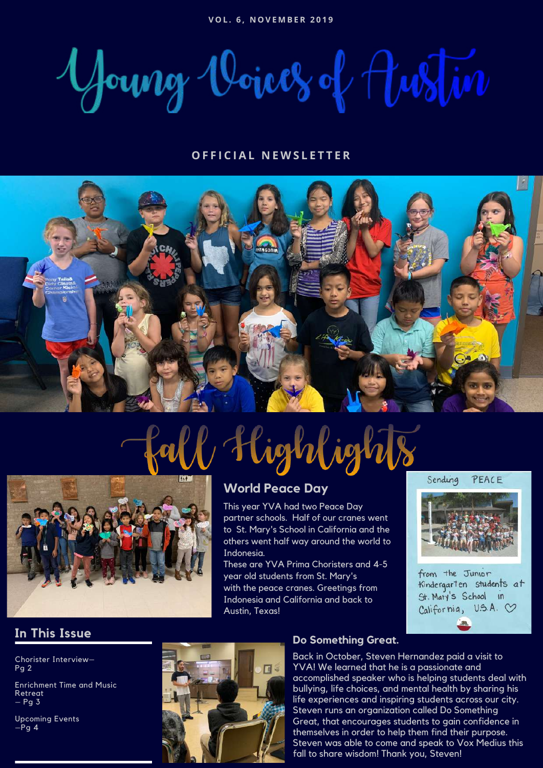Young Voices of Justin

#### **O F F I C I A L N E W S L E T T E R**



# l Highlights



### **World Peace Day**

This year YVA had two Peace Day partner schools. Half of our cranes went to St. Mary's School in California and the others went half way around the world to Indonesia.

These are YVA Prima Choristers and 4-5 year old students from St. Mary's with the peace cranes. Greetings from Indonesia and California and back to Austin, Texas!

#### Sending PEACE



from the Junior Kindergarten students at St. Mary's School in  $Califernia, U.S.A.$ 

### **In This Issue**

Chorister Interview– Pg 2

Enrichment Time and Music Retreat – Pg 3

Upcoming Events  $-Pg$  4



#### **Do Something Great.**

Back in October, Steven Hernandez paid a visit to YVA! We learned that he is a passionate and accomplished speaker who is helping students deal with bullying, life choices, and mental health by sharing his life experiences and inspiring students across our city. Steven runs an organization called Do Something Great, that encourages students to gain confidence in themselves in order to help them find their purpose. Steven was able to come and speak to Vox Medius this fall to share wisdom! Thank you, Steven!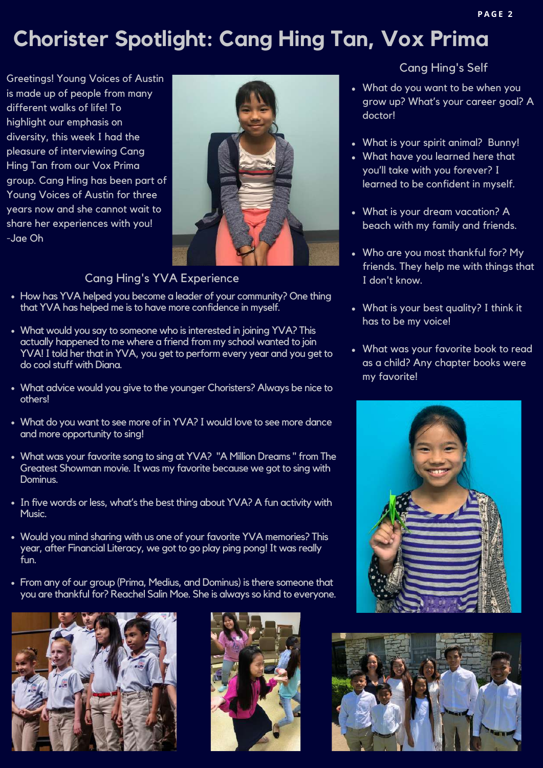### **Chorister Spotlight: Cang Hing Tan, Vox Prima**

Greetings! Young Voices of Austin is made up of people from many different walks of life! To highlight our emphasis on diversity, this week I had the pleasure of interviewing Cang Hing Tan from our Vox Prima group. Cang Hing has been part of Young Voices of Austin for three years now and she cannot wait to share her experiences with you! -Jae Oh



### Cang Hing's YVA Experience

- How has YVA helped you become a leader of your community? One thing that YVA has helped me is to have more confidence in myself.
- What would you say to someone who is interested in joining YVA? This actually happened to me where a friend from my school wanted to join YVA! I told her that in YVA, you get to perform every year and you get to do cool stuff with Diana.
- What advice would you give to the younger Choristers? Always be nice to others!
- What do you want to see more of in YVA? I would love to see more dance and more opportunity to sing!
- What was your favorite song to sing at YVA? "A Million Dreams" from The Greatest Showman movie.It was my favorite because we got to sing with Dominus.
- In five words or less, what's the best thing about YVA? A fun activity with Music.
- Would you mind sharing with us one of your favorite YVA memories? This year, after Financial Literacy, we got to go play ping pong! It was really fun.
- From any of our group (Prima, Medius, and Dominus) is there someone that you are thankful for? Reachel Salin Moe. She is always so kind to everyone.





### Cang Hing's Self

- What do you want to be when you grow up? What's your career goal? A doctor!
- What is your spirit animal? Bunny!
- What have you learned here that you'll take with you forever? I learned to be confident in myself.
- What is your dream vacation? A beach with my family and friends.
- Who are you most thankful for? My friends. They help me with things that I don't know.
- What is your best quality? I think it has to be my voice!
- What was your favorite book to read as a child? Any chapter books were my favorite!



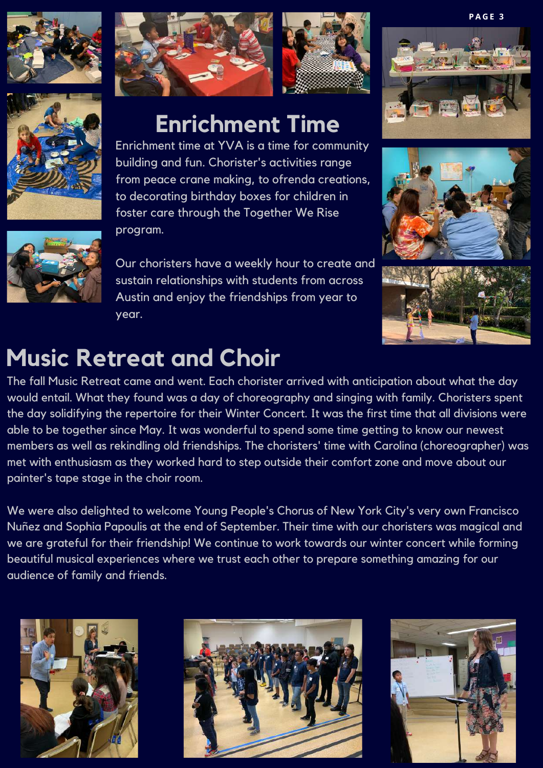





### **Enrichment Time**

Enrichment time at YVA is a time for community building and fun. Chorister's activities range from peace crane making, to ofrenda creations, to decorating birthday boxes for children in foster care through the Together We Rise program.

Our choristers have a weekly hour to create and sustain relationships with students from across Austin and enjoy the friendships from year to year.







### **Music Retreat and Choir**

The fall Music Retreat came and went. Each chorister arrived with anticipation about what the day would entail. What they found was a day of choreography and singing with family. Choristers spent the day solidifying the repertoire for their Winter Concert. It was the first time that all divisions were able to be together since May. It was wonderful to spend some time getting to know our newest members as well as rekindling old friendships. The choristers' time with Carolina (choreographer) was met with enthusiasm as they worked hard to step outside their comfort zone and move about our painter's tape stage in the choir room.

We were also delighted to welcome Young People's Chorus of New York City's very own Francisco Nuñez and Sophia Papoulis at the end of September. Their time with our choristers was magical and we are grateful for their friendship! We continue to work towards our winter concert while forming beautiful musical experiences where we trust each other to prepare something amazing for our audience of family and friends.